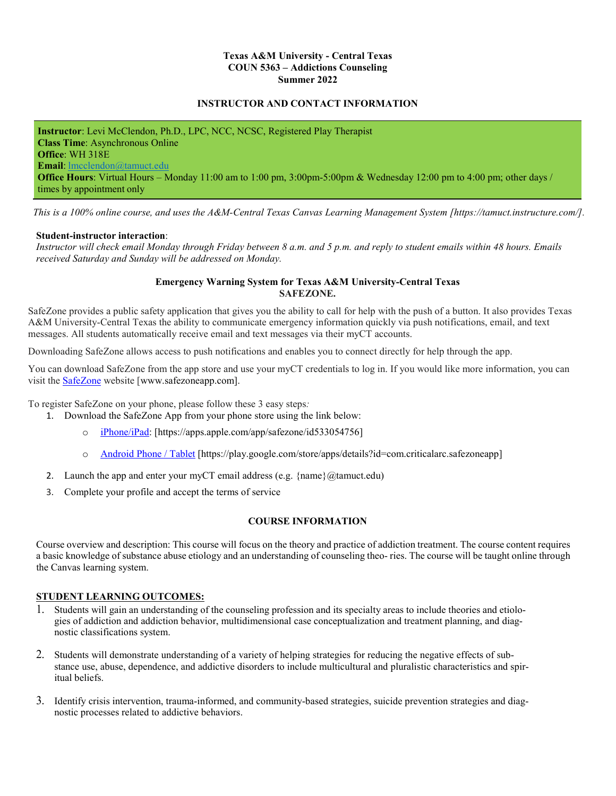### **Texas A&M University - Central Texas COUN 5363 – Addictions Counseling Summer 2022**

### **INSTRUCTOR AND CONTACT INFORMATION**

**Instructor**: Levi McClendon, Ph.D., LPC, NCC, NCSC, Registered Play Therapist **Class Time**: Asynchronous Online **Office**: WH 318E **Email**: [lmcclendon@tamuct.edu](mailto:lmcclendon@tamuct.edu) **Office Hours**: Virtual Hours – Monday 11:00 am to 1:00 pm, 3:00pm-5:00pm & Wednesday 12:00 pm to 4:00 pm; other days / times by appointment only

 *This is a 100% online course, and uses the A&M-Central Texas Canvas Learning Management System [https://tamuct.instructure.com/].*

#### **Student-instructor interaction**:

*Instructor will check email Monday through Friday between 8 a.m. and 5 p.m. and reply to student emails within 48 hours. Emails received Saturday and Sunday will be addressed on Monday.*

### **Emergency Warning System for Texas A&M University-Central Texas SAFEZONE.**

SafeZone provides a public safety application that gives you the ability to call for help with the push of a button. It also provides Texas A&M University-Central Texas the ability to communicate emergency information quickly via push notifications, email, and text messages. All students automatically receive email and text messages via their myCT accounts.

Downloading SafeZone allows access to push notifications and enables you to connect directly for help through the app.

You can download SafeZone from the app store and use your myCT credentials to log in. If you would like more information, you can visit the [SafeZone](http://www.safezoneapp.com/) website [www.safezoneapp.com].

To register SafeZone on your phone, please follow these 3 easy steps*:*

- 1. Download the SafeZone App from your phone store using the link below:
	- [iPhone/iPad:](https://apps.apple.com/app/safezone/id533054756) [https://apps.apple.com/app/safezone/id533054756]
	- o [Android Phone / Tablet](https://play.google.com/store/apps/details?id=com.criticalarc.safezoneapp) [https://play.google.com/store/apps/details?id=com.criticalarc.safezoneapp]
- 2. Launch the app and enter your myCT email address (e.g.  $\{name\}@t$ amuct.edu)
- 3. Complete your profile and accept the terms of service

### **COURSE INFORMATION**

Course overview and description: This course will focus on the theory and practice of addiction treatment. The course content requires a basic knowledge of substance abuse etiology and an understanding of counseling theo- ries. The course will be taught online through the Canvas learning system.

### **STUDENT LEARNING OUTCOMES:**

- 1. Students will gain an understanding of the counseling profession and its specialty areas to include theories and etiologies of addiction and addiction behavior, multidimensional case conceptualization and treatment planning, and diagnostic classifications system.
- 2. Students will demonstrate understanding of a variety of helping strategies for reducing the negative effects of substance use, abuse, dependence, and addictive disorders to include multicultural and pluralistic characteristics and spiritual beliefs.
- 3. Identify crisis intervention, trauma-informed, and community-based strategies, suicide prevention strategies and diagnostic processes related to addictive behaviors.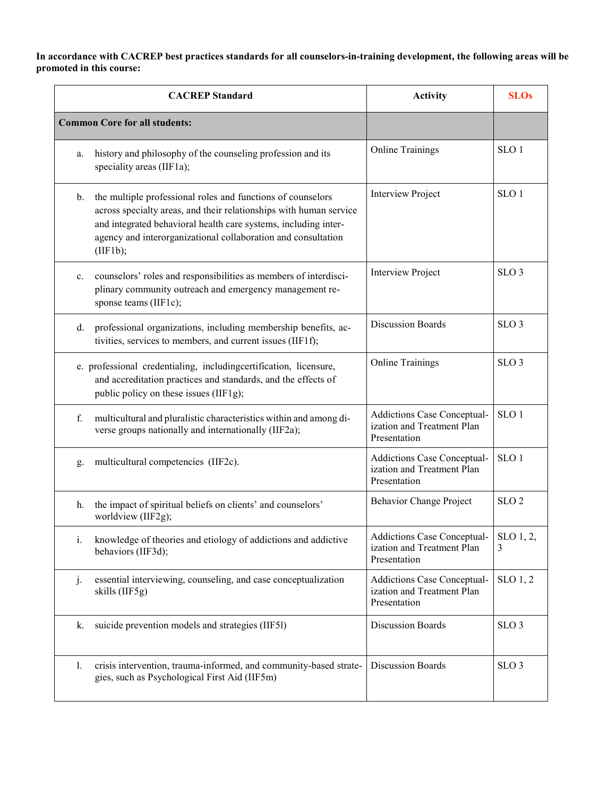# **In accordance with CACREP best practices standards for all counselors-in-training development, the following areas will be promoted in this course:**

| <b>CACREP</b> Standard |                                                                                                                                                                                                                                                                                   | <b>Activity</b>                                                                  | <b>SLOs</b>          |
|------------------------|-----------------------------------------------------------------------------------------------------------------------------------------------------------------------------------------------------------------------------------------------------------------------------------|----------------------------------------------------------------------------------|----------------------|
|                        | <b>Common Core for all students:</b>                                                                                                                                                                                                                                              |                                                                                  |                      |
| a.                     | history and philosophy of the counseling profession and its<br>speciality areas (IIF1a);                                                                                                                                                                                          | <b>Online Trainings</b>                                                          | SLO <sub>1</sub>     |
| b.                     | the multiple professional roles and functions of counselors<br>across specialty areas, and their relationships with human service<br>and integrated behavioral health care systems, including inter-<br>agency and interorganizational collaboration and consultation<br>(IIF1b); | Interview Project                                                                | SLO <sub>1</sub>     |
| c.                     | counselors' roles and responsibilities as members of interdisci-<br>plinary community outreach and emergency management re-<br>sponse teams (IIF1c);                                                                                                                              | <b>Interview Project</b>                                                         | SLO <sub>3</sub>     |
| d.                     | professional organizations, including membership benefits, ac-<br>tivities, services to members, and current issues (IIF1f);                                                                                                                                                      | <b>Discussion Boards</b>                                                         | SLO <sub>3</sub>     |
|                        | e. professional credentialing, includingcertification, licensure,<br>and accreditation practices and standards, and the effects of<br>public policy on these issues (IIF1g);                                                                                                      | <b>Online Trainings</b>                                                          | SLO <sub>3</sub>     |
| f.                     | multicultural and pluralistic characteristics within and among di-<br>verse groups nationally and internationally (IIF2a);                                                                                                                                                        | Addictions Case Conceptual-<br>ization and Treatment Plan<br>Presentation        | SLO <sub>1</sub>     |
| g.                     | multicultural competencies (IIF2c).                                                                                                                                                                                                                                               | Addictions Case Conceptual-<br>ization and Treatment Plan<br>Presentation        | SLO <sub>1</sub>     |
| h.                     | the impact of spiritual beliefs on clients' and counselors'<br>worldview (IIF2g);                                                                                                                                                                                                 | Behavior Change Project                                                          | SLO <sub>2</sub>     |
| i.                     | knowledge of theories and etiology of addictions and addictive<br>behaviors (IIF3d);                                                                                                                                                                                              | Addictions Case Conceptual-<br>ization and Treatment Plan<br>Presentation        | SLO(1, 2,<br>3       |
| j.                     | essential interviewing, counseling, and case conceptualization<br>skills (IIF5g)                                                                                                                                                                                                  | <b>Addictions Case Conceptual-</b><br>ization and Treatment Plan<br>Presentation | SLO <sub>1</sub> , 2 |
| k.                     | suicide prevention models and strategies (IIF5l)                                                                                                                                                                                                                                  | <b>Discussion Boards</b>                                                         | SLO <sub>3</sub>     |
| 1.                     | crisis intervention, trauma-informed, and community-based strate-<br>gies, such as Psychological First Aid (IIF5m)                                                                                                                                                                | <b>Discussion Boards</b>                                                         | SLO <sub>3</sub>     |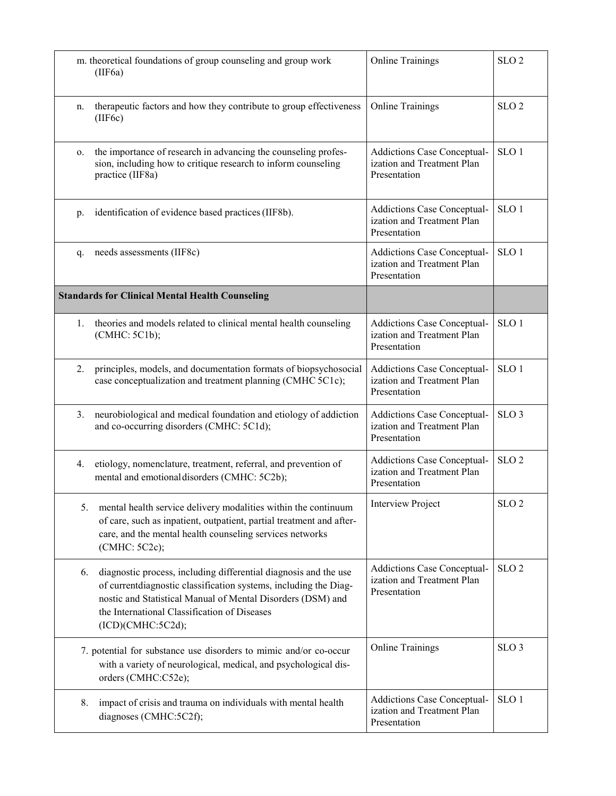|    | m. theoretical foundations of group counseling and group work<br>(IIF6a)                                                                                                                                                                                                 | <b>Online Trainings</b>                                                          | SLO <sub>2</sub> |
|----|--------------------------------------------------------------------------------------------------------------------------------------------------------------------------------------------------------------------------------------------------------------------------|----------------------------------------------------------------------------------|------------------|
| n. | therapeutic factors and how they contribute to group effectiveness<br>(IIF6c)                                                                                                                                                                                            | <b>Online Trainings</b>                                                          | SLO <sub>2</sub> |
| 0. | the importance of research in advancing the counseling profes-<br>sion, including how to critique research to inform counseling<br>practice (IIF8a)                                                                                                                      | Addictions Case Conceptual-<br>ization and Treatment Plan<br>Presentation        | SLO <sub>1</sub> |
| p. | identification of evidence based practices (IIF8b).                                                                                                                                                                                                                      | Addictions Case Conceptual-<br>ization and Treatment Plan<br>Presentation        | SLO <sub>1</sub> |
| q. | needs assessments (IIF8c)                                                                                                                                                                                                                                                | Addictions Case Conceptual-<br>ization and Treatment Plan<br>Presentation        | SLO <sub>1</sub> |
|    | <b>Standards for Clinical Mental Health Counseling</b>                                                                                                                                                                                                                   |                                                                                  |                  |
| 1. | theories and models related to clinical mental health counseling<br>(CMHC: 5C1b);                                                                                                                                                                                        | Addictions Case Conceptual-<br>ization and Treatment Plan<br>Presentation        | SLO <sub>1</sub> |
| 2. | principles, models, and documentation formats of biopsychosocial<br>case conceptualization and treatment planning (CMHC 5C1c);                                                                                                                                           | Addictions Case Conceptual-<br>ization and Treatment Plan<br>Presentation        | SLO <sub>1</sub> |
| 3. | neurobiological and medical foundation and etiology of addiction<br>and co-occurring disorders (CMHC: 5C1d);                                                                                                                                                             | <b>Addictions Case Conceptual-</b><br>ization and Treatment Plan<br>Presentation | SLO <sub>3</sub> |
| 4. | etiology, nomenclature, treatment, referral, and prevention of<br>mental and emotional disorders (CMHC: 5C2b);                                                                                                                                                           | Addictions Case Conceptual-<br>ization and Treatment Plan<br>Presentation        | SLO <sub>2</sub> |
| 5. | mental health service delivery modalities within the continuum<br>of care, such as inpatient, outpatient, partial treatment and after-<br>care, and the mental health counseling services networks<br>(CMHC: 5C2c);                                                      | <b>Interview Project</b>                                                         | SLO <sub>2</sub> |
| 6. | diagnostic process, including differential diagnosis and the use<br>of currentdiagnostic classification systems, including the Diag-<br>nostic and Statistical Manual of Mental Disorders (DSM) and<br>the International Classification of Diseases<br>(ICD)(CMHC:5C2d); | Addictions Case Conceptual-<br>ization and Treatment Plan<br>Presentation        | SLO <sub>2</sub> |
|    | 7. potential for substance use disorders to mimic and/or co-occur<br>with a variety of neurological, medical, and psychological dis-<br>orders (CMHC:C52e);                                                                                                              | <b>Online Trainings</b>                                                          | SLO <sub>3</sub> |
| 8. | impact of crisis and trauma on individuals with mental health<br>diagnoses (CMHC:5C2f);                                                                                                                                                                                  | Addictions Case Conceptual-<br>ization and Treatment Plan<br>Presentation        | SLO <sub>1</sub> |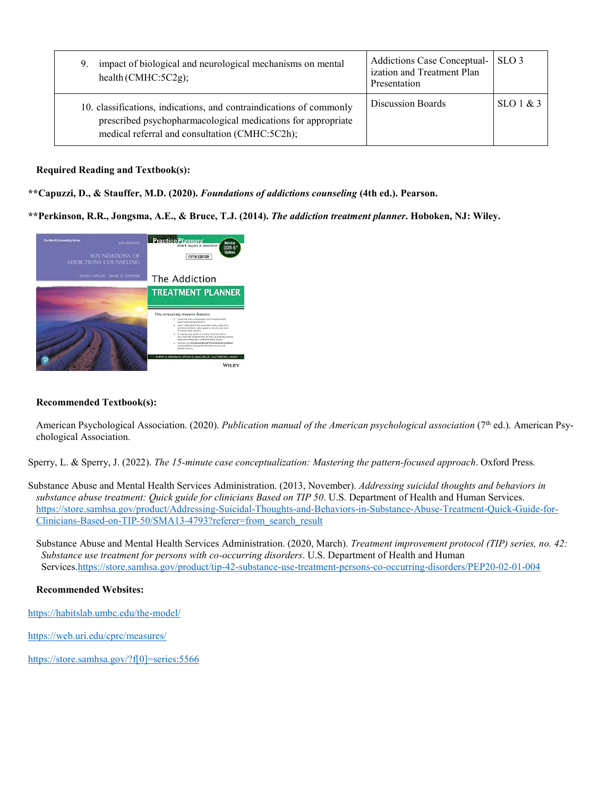| impact of biological and neurological mechanisms on mental<br>9.<br>health (CMHC: $5C2g$ );                                                                                           | <b>Addictions Case Conceptual-</b><br>ization and Treatment Plan<br>Presentation | SLO <sub>3</sub> |
|---------------------------------------------------------------------------------------------------------------------------------------------------------------------------------------|----------------------------------------------------------------------------------|------------------|
| 10. classifications, indications, and contraindications of commonly<br>prescribed psychopharmacological medications for appropriate<br>medical referral and consultation (CMHC:5C2h); | Discussion Boards                                                                | $SLO1 \& 3$      |

**Required Reading and Textbook(s):**

**\*\*Capuzzi, D., & Stauffer, M.D. (2020).** *Foundations of addictions counseling* **(4th ed.). Pearson.**

**\*\*Perkinson, R.R., Jongsma, A.E., & Bruce, T.J. (2014).** *The addiction treatment planner***. Hoboken, NJ: Wiley.**



# **Recommended Textbook(s):**

American Psychological Association. (2020). *Publication manual of the American psychological association* (7<sup>th</sup> ed.). American Psychological Association.

Sperry, L. & Sperry, J. (2022). *The 15-minute case conceptualization: Mastering the pattern-focused approach*. Oxford Press.

Substance Abuse and Mental Health Services Administration. (2013, November). *Addressing suicidal thoughts and behaviors in substance abuse treatment: Quick guide for clinicians Based on TIP 50*. U.S. Department of Health and Human Services. [https://store.samhsa.gov/product/Addressing-Suicidal-Thoughts-and-Behaviors-in-Substance-Abuse-Treatment-Quick-Guide-for-](https://store.samhsa.gov/product/Addressing-Suicidal-Thoughts-and-Behaviors-in-Substance-Abuse-Treatment-Quick-Guide-for-Clinicians-Based-on-TIP-50/SMA13-4793?referer=from_search_result)[Clinicians-Based-on-TIP-50/SMA13-4793?referer=from\\_search\\_result](https://store.samhsa.gov/product/Addressing-Suicidal-Thoughts-and-Behaviors-in-Substance-Abuse-Treatment-Quick-Guide-for-Clinicians-Based-on-TIP-50/SMA13-4793?referer=from_search_result)

Substance Abuse and Mental Health Services Administration. (2020, March). *Treatment improvement protocol (TIP) series, no. 42: Substance use treatment for persons with co-occurring disorders*. U.S. Department of Health and Human Services[.https://store.samhsa.gov/product/tip-42-substance-use-treatment-persons-co-occurring-disorders/PEP20-02-01-004](https://store.samhsa.gov/product/tip-42-substance-use-treatment-persons-co-occurring-disorders/PEP20-02-01-004)

# **Recommended Websites:**

<https://habitslab.umbc.edu/the-model/>

<https://web.uri.edu/cprc/measures/>

[https://store.samhsa.gov/?f\[0\]=series:5566](https://store.samhsa.gov/?f%5b0%5d=series:5566)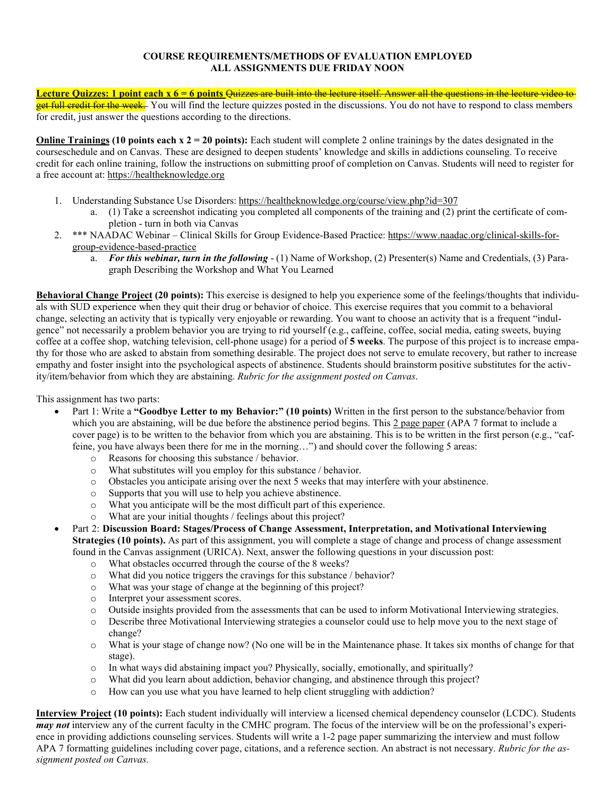### **COURSE REQUIREMENTS/METHODS OF EVALUATION EMPLOYED ALL ASSIGNMENTS DUE FRIDAY NOON**

Lecture Quizzes: 1 point each x 6 = 6 points <del>Quizzes are built into the lecture itself. Answer all the questions in the lecture video to</del> et full credit for the week. You will find the lecture quizzes posted in the discussions. You do not have to respond to class members for credit, just answer the questions according to the directions.

**Online Trainings (10 points each x 2 = 20 points):** Each student will complete 2 online trainings by the dates designated in the courseschedule and on Canvas. These are designed to deepen students' knowledge and skills in addictions counseling. To receive credit for each online training, follow the instructions on submitting proof of completion on Canvas. Students will need to register for a free account at: https://healtheknowledge.org

- 1. Understanding Substance Use Disorders: https://healtheknowledge.org/course/view.php?id=307
	- a. (1) Take a screenshot indicating you completed all components of the training and (2) print the certificate of completion - turn in both via Canvas
- 2. \*\*\* NAADAC Webinar Clinical Skills for Group Evidence-Based Practice: https:/[/www.naadac.org/clinical-skills-for](http://www.naadac.org/clinical-skills-for-)group-evidence-based-practice
	- a. *For this webinar, turn in the following* (1) Name of Workshop, (2) Presenter(s) Name and Credentials, (3) Paragraph Describing the Workshop and What You Learned

**Behavioral Change Project (20 points):** This exercise is designed to help you experience some of the feelings/thoughts that individuals with SUD experience when they quit their drug or behavior of choice. This exercise requires that you commit to a behavioral change, selecting an activity that is typically very enjoyable or rewarding. You want to choose an activity that is a frequent "indulgence" not necessarily a problem behavior you are trying to rid yourself (e.g., caffeine, coffee, social media, eating sweets, buying coffee at a coffee shop, watching television, cell-phone usage) for a period of **5 weeks**. The purpose of this project is to increase empathy for those who are asked to abstain from something desirable. The project does not serve to emulate recovery, but rather to increase empathy and foster insight into the psychological aspects of abstinence. Students should brainstorm positive substitutes for the activity/item/behavior from which they are abstaining. *Rubric for the assignment posted on Canvas*.

This assignment has two parts:

- Part 1: Write a **"Goodbye Letter to my Behavior:" (10 points)** Written in the first person to the substance/behavior from which you are abstaining, will be due before the abstinence period begins. This 2 page paper (APA 7 format to include a cover page) is to be written to the behavior from which you are abstaining. This is to be written in the first person (e.g., "caffeine, you have always been there for me in the morning…") and should cover the following 5 areas:
	- $\circ$  Reasons for choosing this substance / behavior.<br>  $\circ$  What substitutes will you employ for this substa
	- What substitutes will you employ for this substance / behavior.
	- o Obstacles you anticipate arising over the next 5 weeks that may interfere with your abstinence.
	- $\circ$  Supports that you will use to help you achieve abstinence.<br> $\circ$  What you anticipate will be the most difficult part of this e
	- What you anticipate will be the most difficult part of this experience.
	- o What are your initial thoughts / feelings about this project?
- Part 2: **Discussion Board: Stages/Process of Change Assessment, Interpretation, and Motivational Interviewing Strategies (10 points).** As part of this assignment, you will complete a stage of change and process of change assessment
	- found in the Canvas assignment (URICA). Next, answer the following questions in your discussion post:
		- o What obstacles occurred through the course of the 8 weeks?
		- o What did you notice triggers the cravings for this substance / behavior?
		- o What was your stage of change at the beginning of this project?
		- o Interpret your assessment scores.
		- o Outside insights provided from the assessments that can be used to inform Motivational Interviewing strategies.
		- o Describe three Motivational Interviewing strategies a counselor could use to help move you to the next stage of change?
		- o What is your stage of change now? (No one will be in the Maintenance phase. It takes six months of change for that stage).
		- o In what ways did abstaining impact you? Physically, socially, emotionally, and spiritually?
		- o What did you learn about addiction, behavior changing, and abstinence through this project?
		- o How can you use what you have learned to help client struggling with addiction?

**Interview Project (10 points):** Each student individually will interview a licensed chemical dependency counselor (LCDC). Students *may not* interview any of the current faculty in the CMHC program. The focus of the interview will be on the professional's experience in providing addictions counseling services. Students will write a 1-2 page paper summarizing the interview and must follow APA 7 formatting guidelines including cover page, citations, and a reference section. An abstract is not necessary. *Rubric for the assignment posted on Canvas.*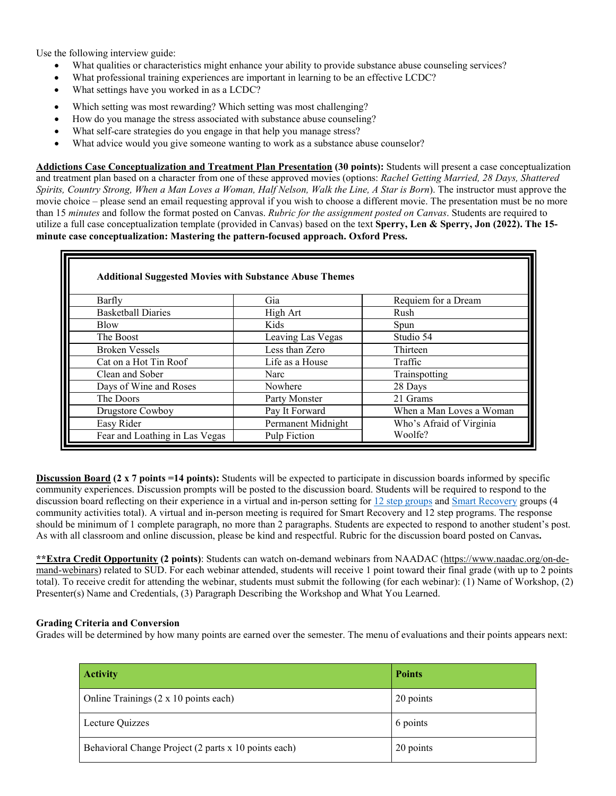Use the following interview guide:

- What qualities or characteristics might enhance your ability to provide substance abuse counseling services?
- What professional training experiences are important in learning to be an effective LCDC?
- What settings have you worked in as a LCDC?
- Which setting was most rewarding? Which setting was most challenging?
- How do you manage the stress associated with substance abuse counseling?
- What self-care strategies do you engage in that help you manage stress?
- What advice would you give someone wanting to work as a substance abuse counselor?

**Addictions Case Conceptualization and Treatment Plan Presentation (30 points):** Students will present a case conceptualization and treatment plan based on a character from one of these approved movies (options: *Rachel Getting Married, 28 Days, Shattered Spirits, Country Strong, When a Man Loves a Woman, Half Nelson, Walk the Line, A Star is Born*). The instructor must approve the movie choice – please send an email requesting approval if you wish to choose a different movie. The presentation must be no more than 15 *minutes* and follow the format posted on Canvas. *Rubric for the assignment posted on Canvas*. Students are required to utilize a full case conceptualization template (provided in Canvas) based on the text **Sperry, Len & Sperry, Jon (2022). The 15 minute case conceptualization: Mastering the pattern-focused approach. Oxford Press.**

| <b>Additional Suggested Movies with Substance Abuse Themes</b> |                    |                          |
|----------------------------------------------------------------|--------------------|--------------------------|
| Barfly                                                         | Gia                | Requiem for a Dream      |
| <b>Basketball Diaries</b>                                      | High Art           | Rush                     |
| <b>Blow</b>                                                    | Kids               | Spun                     |
| The Boost                                                      | Leaving Las Vegas  | Studio 54                |
| <b>Broken Vessels</b>                                          | Less than Zero     | Thirteen                 |
| Cat on a Hot Tin Roof                                          | Life as a House    | Traffic                  |
| Clean and Sober                                                | Narc               | Trainspotting            |
| Days of Wine and Roses                                         | Nowhere            | 28 Days                  |
| The Doors                                                      | Party Monster      | 21 Grams                 |
| Drugstore Cowboy                                               | Pay It Forward     | When a Man Loves a Woman |
| Easy Rider                                                     | Permanent Midnight | Who's Afraid of Virginia |
| Fear and Loathing in Las Vegas                                 | Pulp Fiction       | Woolfe?                  |

**Discussion Board (2 x 7 points =14 points):** Students will be expected to participate in discussion boards informed by specific community experiences. Discussion prompts will be posted to the discussion board. Students will be required to respond to the discussion board reflecting on their experience in a virtual and in-person setting fo[r 12 step groups](https://www.mhanational.org/find-support-groups) and [Smart Recovery](https://www.smartrecovery.org/) groups (4 community activities total). A virtual and in-person meeting is required for Smart Recovery and 12 step programs. The response should be minimum of 1 complete paragraph, no more than 2 paragraphs. Students are expected to respond to another student's post. As with all classroom and online discussion, please be kind and respectful. Rubric for the discussion board posted on Canvas**.**

**\*\*Extra Credit Opportunity (2 points)**: Students can watch on-demand webinars from NAADAC (https:/[/www.naadac.org/on-de](http://www.naadac.org/on-de-)mand-webinars) related to SUD. For each webinar attended, students will receive 1 point toward their final grade (with up to 2 points total). To receive credit for attending the webinar, students must submit the following (for each webinar): (1) Name of Workshop, (2) Presenter(s) Name and Credentials, (3) Paragraph Describing the Workshop and What You Learned.

# **Grading Criteria and Conversion**

Grades will be determined by how many points are earned over the semester. The menu of evaluations and their points appears next:

| <b>Activity</b>                                      | <b>Points</b> |
|------------------------------------------------------|---------------|
| Online Trainings (2 x 10 points each)                | 20 points     |
| Lecture Quizzes                                      | 6 points      |
| Behavioral Change Project (2 parts x 10 points each) | 20 points     |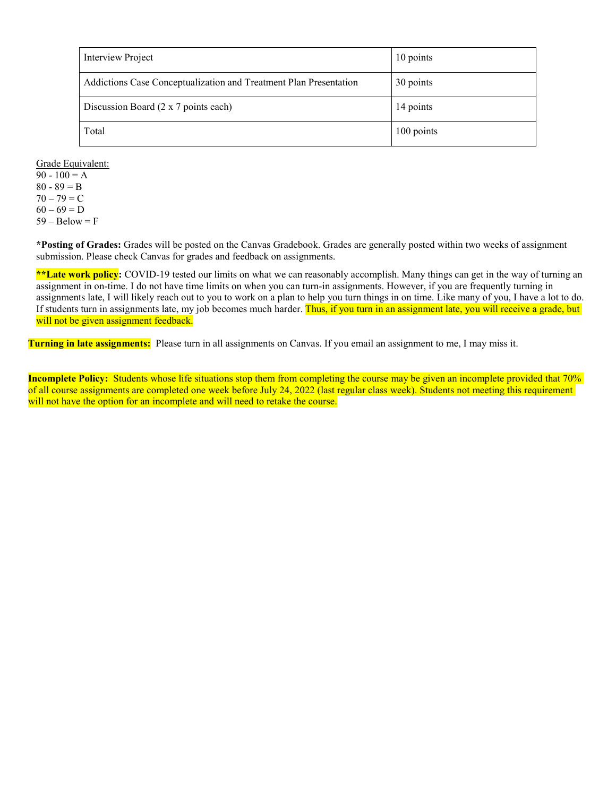| Interview Project                                                 | 10 points  |
|-------------------------------------------------------------------|------------|
| Addictions Case Conceptualization and Treatment Plan Presentation | 30 points  |
| Discussion Board (2 x 7 points each)                              | 14 points  |
| Total                                                             | 100 points |

Grade Equivalent:

90 - 100 = A  $80 - 89 = B$  $70 - 79 = C$  $60 - 69 = D$  $59 - Below = F$ 

**\*Posting of Grades:** Grades will be posted on the Canvas Gradebook. Grades are generally posted within two weeks of assignment submission. Please check Canvas for grades and feedback on assignments.

**\*\*Late work policy:** COVID-19 tested our limits on what we can reasonably accomplish. Many things can get in the way of turning an assignment in on-time. I do not have time limits on when you can turn-in assignments. However, if you are frequently turning in assignments late, I will likely reach out to you to work on a plan to help you turn things in on time. Like many of you, I have a lot to do. If students turn in assignments late, my job becomes much harder. Thus, if you turn in an assignment late, you will receive a grade, but will not be given assignment feedback.

**Turning in late assignments:** Please turn in all assignments on Canvas. If you email an assignment to me, I may miss it.

**Incomplete Policy:** Students whose life situations stop them from completing the course may be given an incomplete provided that 70% of all course assignments are completed one week before July 24, 2022 (last regular class week). Students not meeting this requirement will not have the option for an incomplete and will need to retake the course.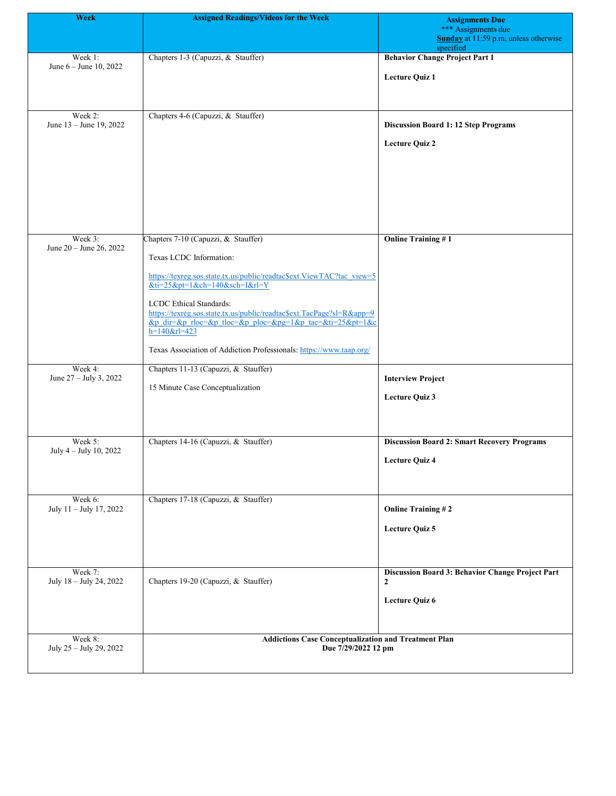| <b>Week</b>                        | <b>Assigned Readings/Videos for the Week</b>                                                            | <b>Assignments Due</b>                                                    |
|------------------------------------|---------------------------------------------------------------------------------------------------------|---------------------------------------------------------------------------|
|                                    |                                                                                                         | *** Assignments due<br>Sunday at 11:59 p.m. unless otherwise<br>specified |
| Week 1:                            | Chapters 1-3 (Capuzzi, & Stauffer)                                                                      | <b>Behavior Change Project Part 1</b>                                     |
| June $6 -$ June 10, 2022           |                                                                                                         | <b>Lecture Quiz 1</b>                                                     |
|                                    |                                                                                                         |                                                                           |
|                                    |                                                                                                         |                                                                           |
| Week 2:<br>June 13 - June 19, 2022 | Chapters 4-6 (Capuzzi, & Stauffer)                                                                      | <b>Discussion Board 1: 12 Step Programs</b>                               |
|                                    |                                                                                                         |                                                                           |
|                                    |                                                                                                         | <b>Lecture Quiz 2</b>                                                     |
|                                    |                                                                                                         |                                                                           |
|                                    |                                                                                                         |                                                                           |
|                                    |                                                                                                         |                                                                           |
|                                    |                                                                                                         |                                                                           |
|                                    |                                                                                                         |                                                                           |
| Week 3:<br>June 20 - June 26, 2022 | Chapters 7-10 (Capuzzi, & Stauffer)                                                                     | <b>Online Training #1</b>                                                 |
|                                    | Texas LCDC Information:                                                                                 |                                                                           |
|                                    | https://texreg.sos.state.tx.us/public/readtac\$ext.ViewTAC?tac_view=5                                   |                                                                           |
|                                    | $&ti=25&pt=1&ch=140&sch=1&rl=Y$                                                                         |                                                                           |
|                                    | <b>LCDC</b> Ethical Standards:<br>https://texreg.sos.state.tx.us/public/readtac\$ext.TacPage?sl=R&app=9 |                                                                           |
|                                    | &p dir=&p rloc=&p tloc=&p ploc=&pg=1&p tac=&ti=25&pt=1&c                                                |                                                                           |
|                                    | $h=140$ &rl=423                                                                                         |                                                                           |
|                                    | Texas Association of Addiction Professionals: https://www.taap.org/                                     |                                                                           |
| Week 4:<br>June 27 - July 3, 2022  | Chapters 11-13 (Capuzzi, & Stauffer)                                                                    | <b>Interview Project</b>                                                  |
|                                    | 15 Minute Case Conceptualization                                                                        | Lecture Quiz 3                                                            |
|                                    |                                                                                                         |                                                                           |
|                                    |                                                                                                         |                                                                           |
| Week 5:                            | Chapters 14-16 (Capuzzi, & Stauffer)                                                                    | <b>Discussion Board 2: Smart Recovery Programs</b>                        |
| July 4 - July 10, 2022             |                                                                                                         | <b>Lecture Quiz 4</b>                                                     |
|                                    |                                                                                                         |                                                                           |
|                                    |                                                                                                         |                                                                           |
| Week 6:<br>July 11 - July 17, 2022 | Chapters 17-18 (Capuzzi, & Stauffer)                                                                    | <b>Online Training #2</b>                                                 |
|                                    |                                                                                                         |                                                                           |
|                                    |                                                                                                         | <b>Lecture Quiz 5</b>                                                     |
|                                    |                                                                                                         |                                                                           |
| Week 7:                            |                                                                                                         | Discussion Board 3: Behavior Change Project Part                          |
| July 18 - July 24, 2022            | Chapters 19-20 (Capuzzi, & Stauffer)                                                                    | $\mathbf{2}$                                                              |
|                                    |                                                                                                         | <b>Lecture Quiz 6</b>                                                     |
|                                    |                                                                                                         |                                                                           |
| Week 8:                            | <b>Addictions Case Conceptualization and Treatment Plan</b>                                             |                                                                           |
| July 25 - July 29, 2022            | Due 7/29/2022 12 pm                                                                                     |                                                                           |
|                                    |                                                                                                         |                                                                           |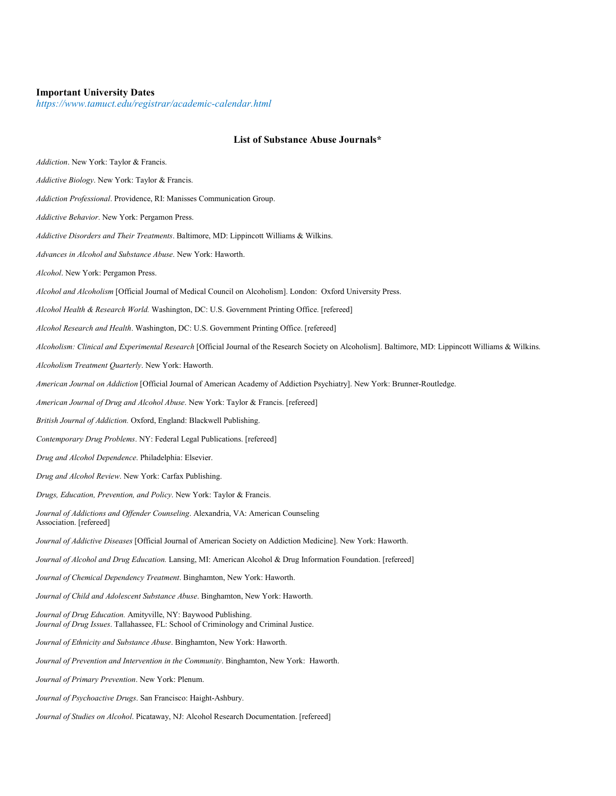#### **Important University Dates**

*https://www.tamuct.edu/registrar/academic-calendar.html*

# **List of Substance Abuse Journals\***

| Addiction. New York: Taylor & Francis.                                                                                                                 |
|--------------------------------------------------------------------------------------------------------------------------------------------------------|
| Addictive Biology. New York: Taylor & Francis.                                                                                                         |
| Addiction Professional. Providence, RI: Manisses Communication Group.                                                                                  |
| Addictive Behavior. New York: Pergamon Press.                                                                                                          |
| Addictive Disorders and Their Treatments. Baltimore, MD: Lippincott Williams & Wilkins.                                                                |
| Advances in Alcohol and Substance Abuse. New York: Haworth.                                                                                            |
| Alcohol. New York: Pergamon Press.                                                                                                                     |
| Alcohol and Alcoholism [Official Journal of Medical Council on Alcoholism]. London: Oxford University Press.                                           |
| Alcohol Health & Research World. Washington, DC: U.S. Government Printing Office. [refereed]                                                           |
| Alcohol Research and Health. Washington, DC: U.S. Government Printing Office. [refereed]                                                               |
| Alcoholism: Clinical and Experimental Research [Official Journal of the Research Society on Alcoholism]. Baltimore, MD: Lippincott Williams & Wilkins. |
| Alcoholism Treatment Quarterly. New York: Haworth.                                                                                                     |
| American Journal on Addiction [Official Journal of American Academy of Addiction Psychiatry]. New York: Brunner-Routledge.                             |
| American Journal of Drug and Alcohol Abuse. New York: Taylor & Francis. [refereed]                                                                     |
| British Journal of Addiction. Oxford, England: Blackwell Publishing.                                                                                   |
| Contemporary Drug Problems. NY: Federal Legal Publications. [refereed]                                                                                 |
| Drug and Alcohol Dependence. Philadelphia: Elsevier.                                                                                                   |
| Drug and Alcohol Review. New York: Carfax Publishing.                                                                                                  |
| Drugs, Education, Prevention, and Policy. New York: Taylor & Francis.                                                                                  |
| Journal of Addictions and Offender Counseling. Alexandria, VA: American Counseling<br>Association. [refereed]                                          |
| Journal of Addictive Diseases [Official Journal of American Society on Addiction Medicine]. New York: Haworth.                                         |
| Journal of Alcohol and Drug Education. Lansing, MI: American Alcohol & Drug Information Foundation. [refereed]                                         |
| Journal of Chemical Dependency Treatment. Binghamton, New York: Haworth.                                                                               |
| <i>Journal of Child and Adolescent Substance Abuse.</i> Binghamton, New York: Haworth.                                                                 |
| Journal of Drug Education. Amityville, NY: Baywood Publishing.<br>Journal of Drug Issues. Tallahassee, FL: School of Criminology and Criminal Justice. |
| Journal of Ethnicity and Substance Abuse. Binghamton, New York: Haworth.                                                                               |
| Journal of Prevention and Intervention in the Community. Binghamton, New York: Haworth.                                                                |
| Journal of Primary Prevention. New York: Plenum.                                                                                                       |
| Journal of Psychoactive Drugs. San Francisco: Haight-Ashbury.                                                                                          |
| Journal of Studies on Alcohol. Picataway, NJ: Alcohol Research Documentation. [refereed]                                                               |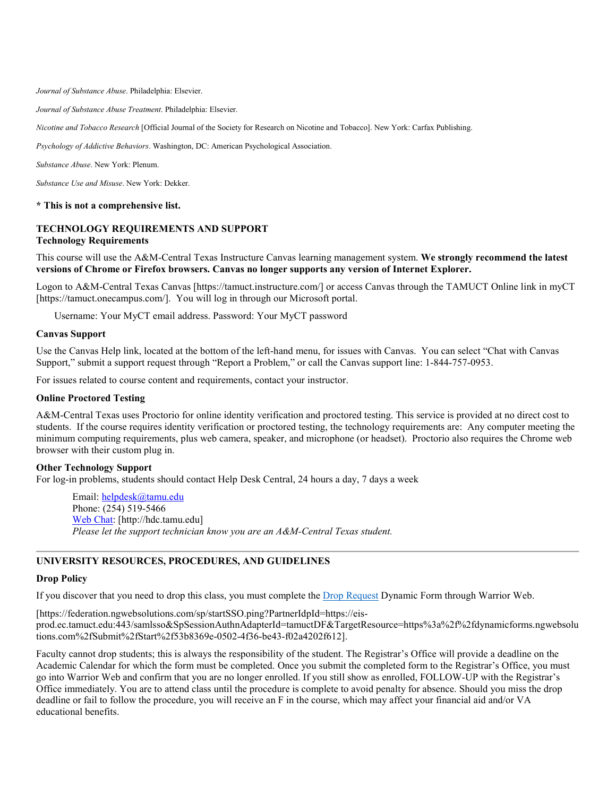*Journal of Substance Abuse*. Philadelphia: Elsevier.

*Journal of Substance Abuse Treatment*. Philadelphia: Elsevier.

*Nicotine and Tobacco Research* [Official Journal of the Society for Research on Nicotine and Tobacco]. New York: Carfax Publishing.

*Psychology of Addictive Behaviors*. Washington, DC: American Psychological Association.

*Substance Abuse*. New York: Plenum.

*Substance Use and Misuse*. New York: Dekker.

#### **\* This is not a comprehensive list.**

#### **TECHNOLOGY REQUIREMENTS AND SUPPORT Technology Requirements**

This course will use the A&M-Central Texas Instructure Canvas learning management system. **We strongly recommend the latest versions of Chrome or Firefox browsers. Canvas no longer supports any version of Internet Explorer.**

Logon to A&M-Central Texas Canvas [https://tamuct.instructure.com/] or access Canvas through the TAMUCT Online link in myCT [https://tamuct.onecampus.com/]. You will log in through our Microsoft portal.

Username: Your MyCT email address. Password: Your MyCT password

#### **Canvas Support**

Use the Canvas Help link, located at the bottom of the left-hand menu, for issues with Canvas. You can select "Chat with Canvas Support," submit a support request through "Report a Problem," or call the Canvas support line: 1-844-757-0953.

For issues related to course content and requirements, contact your instructor.

#### **Online Proctored Testing**

A&M-Central Texas uses Proctorio for online identity verification and proctored testing. This service is provided at no direct cost to students. If the course requires identity verification or proctored testing, the technology requirements are: Any computer meeting the minimum computing requirements, plus web camera, speaker, and microphone (or headset). Proctorio also requires the Chrome web browser with their custom plug in.

#### **Other Technology Support**

For log-in problems, students should contact Help Desk Central, 24 hours a day, 7 days a week

Email: [helpdesk@tamu.edu](mailto:helpdesk@tamu.edu) Phone: (254) 519-5466 [Web Chat:](http://hdc.tamu.edu/) [http://hdc.tamu.edu] *Please let the support technician know you are an A&M-Central Texas student.*

#### **UNIVERSITY RESOURCES, PROCEDURES, AND GUIDELINES**

#### **Drop Policy**

If you discover that you need to drop this class, you must complete the [Drop Request](https://federation.ngwebsolutions.com/sp/startSSO.ping?PartnerIdpId=https://eis-prod.ec.tamuct.edu:443/samlsso&SpSessionAuthnAdapterId=tamuctDF&TargetResource=https%3a%2f%2fdynamicforms.ngwebsolutions.com%2fSubmit%2fStart%2f53b8369e-0502-4f36-be43-f02a4202f612) Dynamic Form through Warrior Web.

[https://federation.ngwebsolutions.com/sp/startSSO.ping?PartnerIdpId=https://eisprod.ec.tamuct.edu:443/samlsso&SpSessionAuthnAdapterId=tamuctDF&TargetResource=https%3a%2f%2fdynamicforms.ngwebsolu tions.com%2fSubmit%2fStart%2f53b8369e-0502-4f36-be43-f02a4202f612].

Faculty cannot drop students; this is always the responsibility of the student. The Registrar's Office will provide a deadline on the Academic Calendar for which the form must be completed. Once you submit the completed form to the Registrar's Office, you must go into Warrior Web and confirm that you are no longer enrolled. If you still show as enrolled, FOLLOW-UP with the Registrar's Office immediately. You are to attend class until the procedure is complete to avoid penalty for absence. Should you miss the drop deadline or fail to follow the procedure, you will receive an F in the course, which may affect your financial aid and/or VA educational benefits.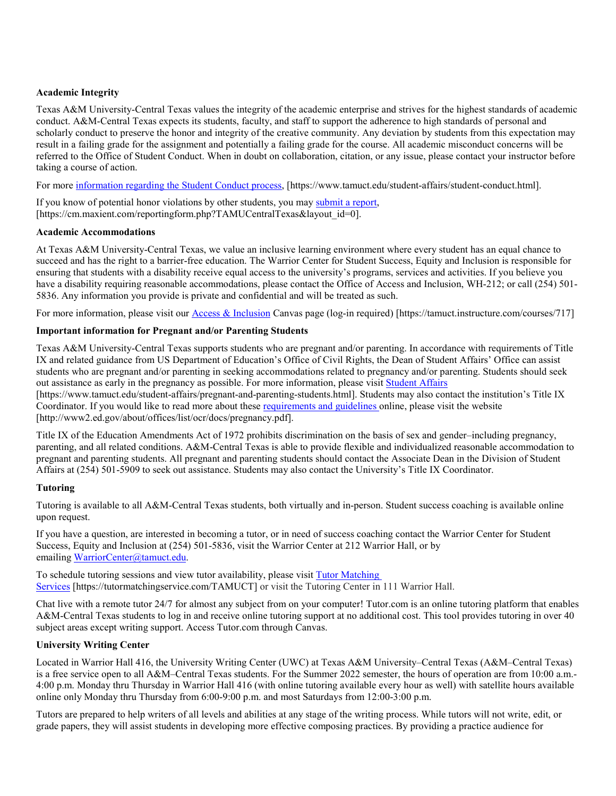# **Academic Integrity**

Texas A&M University-Central Texas values the integrity of the academic enterprise and strives for the highest standards of academic conduct. A&M-Central Texas expects its students, faculty, and staff to support the adherence to high standards of personal and scholarly conduct to preserve the honor and integrity of the creative community. Any deviation by students from this expectation may result in a failing grade for the assignment and potentially a failing grade for the course. All academic misconduct concerns will be referred to the Office of Student Conduct. When in doubt on collaboration, citation, or any issue, please contact your instructor before taking a course of action.

For more [information](https://nam04.safelinks.protection.outlook.com/?url=https%3A%2F%2Fwww.tamuct.edu%2Fstudent-affairs%2Fstudent-conduct.html&data=04%7C01%7Clisa.bunkowski%40tamuct.edu%7Ccfb6e486f24745f53e1a08d910055cb2%7C9eed4e3000f744849ff193ad8005acec%7C0%7C0%7C637558437485252160%7CUnknown%7CTWFpbGZsb3d8eyJWIjoiMC4wLjAwMDAiLCJQIjoiV2luMzIiLCJBTiI6Ik1haWwiLCJXVCI6Mn0%3D%7C1000&sdata=yjftDEVHvLX%2FhM%2FcFU0B99krV1RgEWR%2BJ%2BhvtoR6TYk%3D&reserved=0) regarding the Student Conduct process, [https://www.tamuct.edu/student-affairs/student-conduct.html].

If you know of potential honor violations by other students, you may [submit](https://nam04.safelinks.protection.outlook.com/?url=https%3A%2F%2Fcm.maxient.com%2Freportingform.php%3FTAMUCentralTexas%26layout_id%3D0&data=04%7C01%7Clisa.bunkowski%40tamuct.edu%7Ccfb6e486f24745f53e1a08d910055cb2%7C9eed4e3000f744849ff193ad8005acec%7C0%7C0%7C637558437485262157%7CUnknown%7CTWFpbGZsb3d8eyJWIjoiMC4wLjAwMDAiLCJQIjoiV2luMzIiLCJBTiI6Ik1haWwiLCJXVCI6Mn0%3D%7C1000&sdata=CXGkOa6uPDPX1IMZ87z3aZDq2n91xfHKu4MMS43Ejjk%3D&reserved=0) a report, [https://cm.maxient.com/reportingform.php?TAMUCentralTexas&layout\_id=0].

### **Academic Accommodations**

At Texas A&M University-Central Texas, we value an inclusive learning environment where every student has an equal chance to succeed and has the right to a barrier-free education. The Warrior Center for Student Success, Equity and Inclusion is responsible for ensuring that students with a disability receive equal access to the university's programs, services and activities. If you believe you have a disability requiring reasonable accommodations, please contact the Office of Access and Inclusion, WH-212; or call (254) 501-5836. Any information you provide is private and confidential and will be treated as such.

For more information, please visit our **Access & Inclusion** Canvas page (log-in required) [https://tamuct.instructure.com/courses/717]

# **Important information for Pregnant and/or Parenting Students**

Texas A&M University-Central Texas supports students who are pregnant and/or parenting. In accordance with requirements of Title IX and related guidance from US Department of Education's Office of Civil Rights, the Dean of Student Affairs' Office can assist students who are pregnant and/or parenting in seeking accommodations related to pregnancy and/or parenting. Students should seek out assistance as early in the pregnancy as possible. For more information, please visi[t Student Affairs](https://www.tamuct.edu/student-affairs/pregnant-and-parenting-students.html)

[https://www.tamuct.edu/student-affairs/pregnant-and-parenting-students.html]. Students may also contact the institution's Title IX Coordinator. If you would like to read more about these [requirements and guidelines](http://www2.ed.gov/about/offices/list/ocr/docs/pregnancy.pdf) online, please visit the website [http://www2.ed.gov/about/offices/list/ocr/docs/pregnancy.pdf].

Title IX of the Education Amendments Act of 1972 prohibits discrimination on the basis of sex and gender–including pregnancy, parenting, and all related conditions. A&M-Central Texas is able to provide flexible and individualized reasonable accommodation to pregnant and parenting students. All pregnant and parenting students should contact the Associate Dean in the Division of Student Affairs at (254) 501-5909 to seek out assistance. Students may also contact the University's Title IX Coordinator.

# **Tutoring**

Tutoring is available to all A&M-Central Texas students, both virtually and in-person. Student success coaching is available online upon request.

If you have a question, are interested in becoming a tutor, or in need of success coaching contact the Warrior Center for Student Success, Equity and Inclusion at (254) 501-5836, visit the Warrior Center at 212 Warrior Hall, or by emailing [WarriorCenter@tamuct.edu.](mailto:WarriorCenter@tamuct.edu)

To schedule tutoring sessions and view tutor availability, please visit Tutor [Matching](https://nam04.safelinks.protection.outlook.com/?url=http%3A%2F%2Fwww.tutormatchingservices.com%2FTAMUCT&data=04%7C01%7Clisa.bunkowski%40tamuct.edu%7C886784139069461670c308d9aa01f55e%7C9eed4e3000f744849ff193ad8005acec%7C0%7C0%7C637727747643427346%7CUnknown%7CTWFpbGZsb3d8eyJWIjoiMC4wLjAwMDAiLCJQIjoiV2luMzIiLCJBTiI6Ik1haWwiLCJXVCI6Mn0%3D%7C3000&sdata=D%2F8HN2bUT1lLPfs5qSqKYlwh8a7pZVy7isM2gppluQE%3D&reserved=0) [Services](https://nam04.safelinks.protection.outlook.com/?url=http%3A%2F%2Fwww.tutormatchingservices.com%2FTAMUCT&data=04%7C01%7Clisa.bunkowski%40tamuct.edu%7C886784139069461670c308d9aa01f55e%7C9eed4e3000f744849ff193ad8005acec%7C0%7C0%7C637727747643427346%7CUnknown%7CTWFpbGZsb3d8eyJWIjoiMC4wLjAwMDAiLCJQIjoiV2luMzIiLCJBTiI6Ik1haWwiLCJXVCI6Mn0%3D%7C3000&sdata=D%2F8HN2bUT1lLPfs5qSqKYlwh8a7pZVy7isM2gppluQE%3D&reserved=0) [https://tutormatchingservice.com/TAMUCT] or visit the Tutoring Center in 111 Warrior Hall.

Chat live with a remote tutor 24/7 for almost any subject from on your computer! Tutor.com is an online tutoring platform that enables A&M-Central Texas students to log in and receive online tutoring support at no additional cost. This tool provides tutoring in over 40 subject areas except writing support. Access Tutor.com through Canvas.

# **University Writing Center**

Located in Warrior Hall 416, the University Writing Center (UWC) at Texas A&M University–Central Texas (A&M–Central Texas) is a free service open to all A&M–Central Texas students. For the Summer 2022 semester, the hours of operation are from 10:00 a.m.- 4:00 p.m. Monday thru Thursday in Warrior Hall 416 (with online tutoring available every hour as well) with satellite hours available online only Monday thru Thursday from 6:00-9:00 p.m. and most Saturdays from 12:00-3:00 p.m.

Tutors are prepared to help writers of all levels and abilities at any stage of the writing process. While tutors will not write, edit, or grade papers, they will assist students in developing more effective composing practices. By providing a practice audience for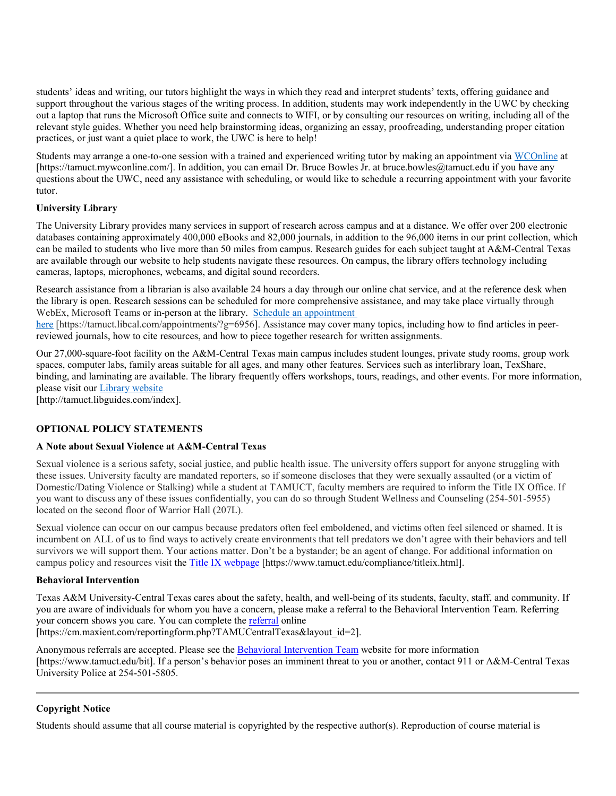students' ideas and writing, our tutors highlight the ways in which they read and interpret students' texts, offering guidance and support throughout the various stages of the writing process. In addition, students may work independently in the UWC by checking out a laptop that runs the Microsoft Office suite and connects to WIFI, or by consulting our resources on writing, including all of the relevant style guides. Whether you need help brainstorming ideas, organizing an essay, proofreading, understanding proper citation practices, or just want a quiet place to work, the UWC is here to help!

Students may arrange a one-to-one session with a trained and experienced writing tutor by making an appointment via [WCOnline](https://tamuct.mywconline.com/) at [https://tamuct.mywconline.com/]. In addition, you can email Dr. Bruce Bowles Jr. at bruce.bowles@tamuct.edu if you have any questions about the UWC, need any assistance with scheduling, or would like to schedule a recurring appointment with your favorite tutor.

# **University Library**

The University Library provides many services in support of research across campus and at a distance. We offer over 200 electronic databases containing approximately 400,000 eBooks and 82,000 journals, in addition to the 96,000 items in our print collection, which can be mailed to students who live more than 50 miles from campus. Research guides for each subject taught at A&M-Central Texas are available through our website to help students navigate these resources. On campus, the library offers technology including cameras, laptops, microphones, webcams, and digital sound recorders.

Research assistance from a librarian is also available 24 hours a day through our online chat service, and at the reference desk when the library is open. Research sessions can be scheduled for more comprehensive assistance, and may take place virtually through WebEx, Microsoft Teams or in-person at the library. Schedule an [appointment](https://nam04.safelinks.protection.outlook.com/?url=https%3A%2F%2Ftamuct.libcal.com%2Fappointments%2F%3Fg%3D6956&data=04%7C01%7Clisa.bunkowski%40tamuct.edu%7Cde2c07d9f5804f09518008d9ab7ba6ff%7C9eed4e3000f744849ff193ad8005acec%7C0%7C0%7C637729369835011558%7CUnknown%7CTWFpbGZsb3d8eyJWIjoiMC4wLjAwMDAiLCJQIjoiV2luMzIiLCJBTiI6Ik1haWwiLCJXVCI6Mn0%3D%7C3000&sdata=KhtjgRSAw9aq%2FoBsB6wyu8b7PSuGN5EGPypzr3Ty2No%3D&reserved=0)

[here](https://nam04.safelinks.protection.outlook.com/?url=https%3A%2F%2Ftamuct.libcal.com%2Fappointments%2F%3Fg%3D6956&data=04%7C01%7Clisa.bunkowski%40tamuct.edu%7Cde2c07d9f5804f09518008d9ab7ba6ff%7C9eed4e3000f744849ff193ad8005acec%7C0%7C0%7C637729369835011558%7CUnknown%7CTWFpbGZsb3d8eyJWIjoiMC4wLjAwMDAiLCJQIjoiV2luMzIiLCJBTiI6Ik1haWwiLCJXVCI6Mn0%3D%7C3000&sdata=KhtjgRSAw9aq%2FoBsB6wyu8b7PSuGN5EGPypzr3Ty2No%3D&reserved=0) [https://tamuct.libcal.com/appointments/?g=6956]. Assistance may cover many topics, including how to find articles in peerreviewed journals, how to cite resources, and how to piece together research for written assignments.

Our 27,000-square-foot facility on the A&M-Central Texas main campus includes student lounges, private study rooms, group work spaces, computer labs, family areas suitable for all ages, and many other features. Services such as interlibrary loan, TexShare, binding, and laminating are available. The library frequently offers workshops, tours, readings, and other events. For more information, please visit our Library [website](https://nam04.safelinks.protection.outlook.com/?url=https%3A%2F%2Ftamuct.libguides.com%2Findex&data=04%7C01%7Clisa.bunkowski%40tamuct.edu%7C7d8489e8839a4915335f08d916f067f2%7C9eed4e3000f744849ff193ad8005acec%7C0%7C0%7C637566044056484222%7CUnknown%7CTWFpbGZsb3d8eyJWIjoiMC4wLjAwMDAiLCJQIjoiV2luMzIiLCJBTiI6Ik1haWwiLCJXVCI6Mn0%3D%7C1000&sdata=2R755V6rcIyedGrd4Os5rkgn1PvhHKU3kUV1vBKiHFo%3D&reserved=0)

[http://tamuct.libguides.com/index].

# **OPTIONAL POLICY STATEMENTS**

# **A Note about Sexual Violence at A&M-Central Texas**

Sexual violence is a serious safety, social justice, and public health issue. The university offers support for anyone struggling with these issues. University faculty are mandated reporters, so if someone discloses that they were sexually assaulted (or a victim of Domestic/Dating Violence or Stalking) while a student at TAMUCT, faculty members are required to inform the Title IX Office. If you want to discuss any of these issues confidentially, you can do so through Student Wellness and Counseling (254-501-5955) located on the second floor of Warrior Hall (207L).

Sexual violence can occur on our campus because predators often feel emboldened, and victims often feel silenced or shamed. It is incumbent on ALL of us to find ways to actively create environments that tell predators we don't agree with their behaviors and tell survivors we will support them. Your actions matter. Don't be a bystander; be an agent of change. For additional information on campus policy and resources visit the [Title IX webpage](https://www.tamuct.edu/compliance/titleix.html) [\[https://www.tamuct.edu/compliance/titleix.html\]](https://www.tamuct.edu/compliance/titleix.html).

### **Behavioral Intervention**

Texas A&M University-Central Texas cares about the safety, health, and well-being of its students, faculty, staff, and community. If you are aware of individuals for whom you have a concern, please make a referral to the Behavioral Intervention Team. Referring your concern shows you care. You can complete th[e referral](https://cm.maxient.com/reportingform.php?TAMUCentralTexas&layout_id=2) online [https://cm.maxient.com/reportingform.php?TAMUCentralTexas&layout\_id=2].

Anonymous referrals are accepted. Please see the [Behavioral Intervention Team](https://www.tamuct.edu/bit) website for more information [https://www.tamuct.edu/bit]. If a person's behavior poses an imminent threat to you or another, contact 911 or A&M-Central Texas University Police at 254-501-5805.

#### **Copyright Notice**

Students should assume that all course material is copyrighted by the respective author(s). Reproduction of course material is